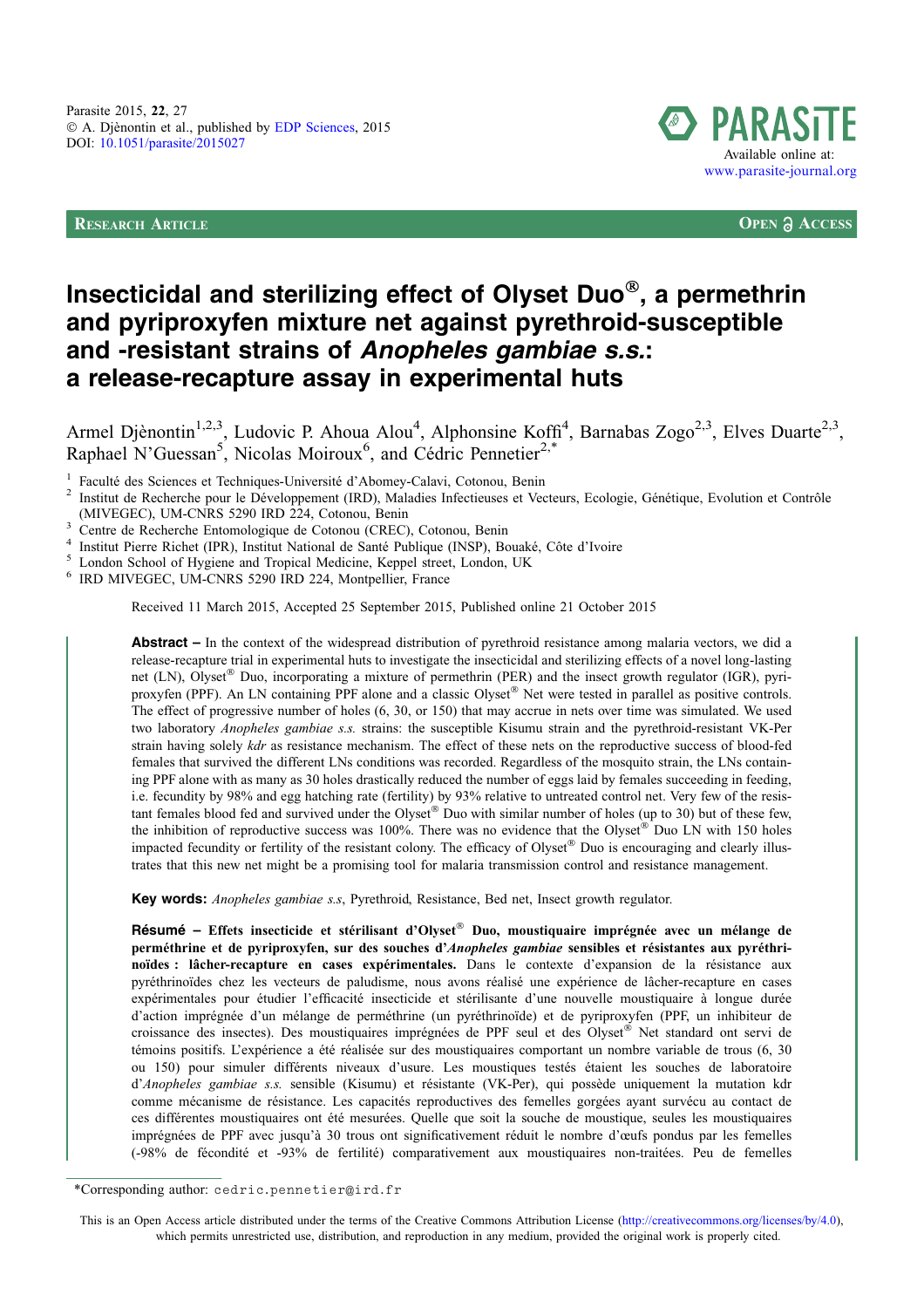RESEARCH ARTICLE **OPEN ACCESS**



# Insecticidal and sterilizing effect of Olyset Duo®, a permethrin and pyriproxyfen mixture net against pyrethroid-susceptible and -resistant strains of Anopheles gambiae s.s.: a release-recapture assay in experimental huts

Armel Djènontin<sup>1,2,3</sup>, Ludovic P. Ahoua Alou<sup>4</sup>, Alphonsine Koffi<sup>4</sup>, Barnabas Zogo<sup>2,3</sup>, Elves Duarte<sup>2,3</sup>, Raphael N'Guessan<sup>5</sup>, Nicolas Moiroux<sup>6</sup>, and Cédric Pennetier<sup>2,\*</sup>

Faculté des Sciences et Techniques-Université d'Abomey-Calavi, Cotonou, Benin<br>Institut de Recherche pour le Développement (IRD), Maladies Infectieuses et Vecteurs, Ecologie, Génétique, Evolution et Contrôle<br>(MIVEGEC), UM-C

<sup>3</sup> Centre de Recherche Entomologique de Cotonou (CREC), Cotonou, Benin<br><sup>4</sup> Institut Pierre Richet (IPR), Institut National de Santé Publique (INSP), Bouaké, Côte d'Ivoire<br><sup>5</sup> London School of Hygiene and Tropical Medicine

Received 11 March 2015, Accepted 25 September 2015, Published online 21 October 2015

Abstract – In the context of the widespread distribution of pyrethroid resistance among malaria vectors, we did a release-recapture trial in experimental huts to investigate the insecticidal and sterilizing effects of a novel long-lasting net (LN), Olyset® Duo, incorporating a mixture of permethrin (PER) and the insect growth regulator (IGR), pyriproxyfen (PPF). An LN containing PPF alone and a classic Olyset® Net were tested in parallel as positive controls. The effect of progressive number of holes (6, 30, or 150) that may accrue in nets over time was simulated. We used two laboratory *Anopheles gambiae s.s.* strains: the susceptible Kisumu strain and the pyrethroid-resistant VK-Per strain having solely *kdr* as resistance mechanism. The effect of these nets on the reproductive success of blood-fed females that survived the different LNs conditions was recorded. Regardless of the mosquito strain, the LNs containing PPF alone with as many as 30 holes drastically reduced the number of eggs laid by females succeeding in feeding, i.e. fecundity by 98% and egg hatching rate (fertility) by 93% relative to untreated control net. Very few of the resistant females blood fed and survived under the Olyset® Duo with similar number of holes (up to 30) but of these few, the inhibition of reproductive success was 100%. There was no evidence that the Olyset® Duo LN with 150 holes impacted fecundity or fertility of the resistant colony. The efficacy of Olyset® Duo is encouraging and clearly illustrates that this new net might be a promising tool for malaria transmission control and resistance management.

Key words: Anopheles gambiae s.s, Pyrethroid, Resistance, Bed net, Insect growth regulator.

Résumé – Effets insecticide et stérilisant d'Olyset® Duo, moustiquaire imprégnée avec un mélange de perméthrine et de pyriproxyfen, sur des souches d'Anopheles gambiae sensibles et résistantes aux pyréthrinoïdes : lâcher-recapture en cases expérimentales. Dans le contexte d'expansion de la résistance aux pyréthrinoïdes chez les vecteurs de paludisme, nous avons réalisé une expérience de lâcher-recapture en cases expérimentales pour étudier l'efficacité insecticide et stérilisante d'une nouvelle moustiquaire à longue durée d'action imprégnée d'un mélange de perméthrine (un pyréthrinoïde) et de pyriproxyfen (PPF, un inhibiteur de croissance des insectes). Des moustiquaires imprégnées de PPF seul et des Olyset® Net standard ont servi de témoins positifs. L'expérience a été réalisée sur des moustiquaires comportant un nombre variable de trous (6, 30 ou 150) pour simuler différents niveaux d'usure. Les moustiques testés étaient les souches de laboratoire d'Anopheles gambiae s.s. sensible (Kisumu) et résistante (VK-Per), qui possède uniquement la mutation kdr comme mécanisme de résistance. Les capacités reproductives des femelles gorgées ayant survécu au contact de ces différentes moustiquaires ont été mesurées. Quelle que soit la souche de moustique, seules les moustiquaires imprégnées de PPF avec jusqu'à 30 trous ont significativement réduit le nombre d'œufs pondus par les femelles (-98% de fécondité et -93% de fertilité) comparativement aux moustiquaires non-traitées. Peu de femelles

This is an Open Access article distributed under the terms of the Creative Commons Attribution License [\(http://creativecommons.org/licenses/by/4.0\)](http://creativecommons.org/licenses/by/4.0/), which permits unrestricted use, distribution, and reproduction in any medium, provided the original work is properly cited.

<sup>\*</sup>Corresponding author: cedric.pennetier@ird.fr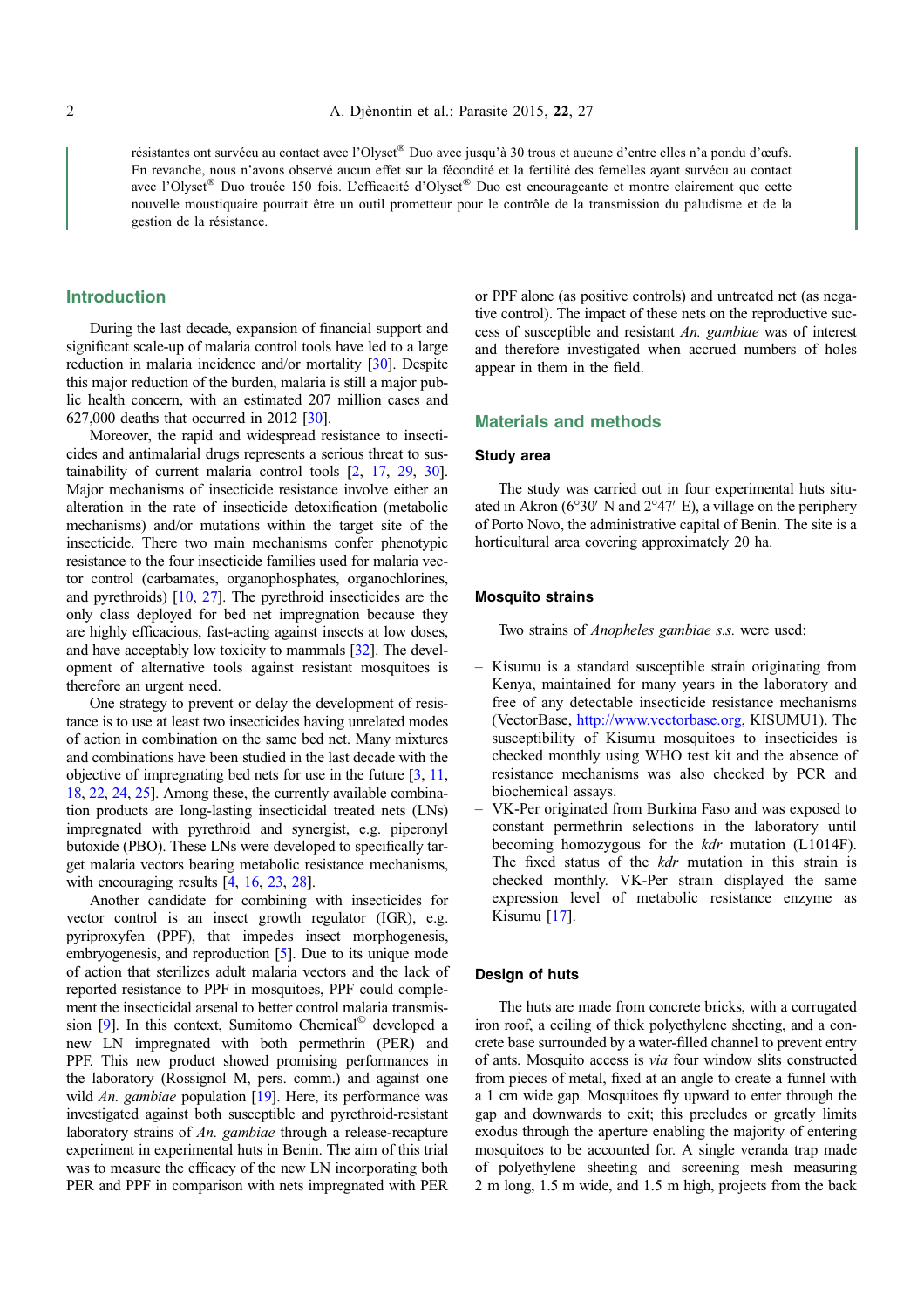résistantes ont survécu au contact avec l'Olyset® Duo avec jusqu'à 30 trous et aucune d'entre elles n'a pondu d'œufs. En revanche, nous n'avons observé aucun effet sur la fécondité et la fertilité des femelles ayant survécu au contact avec l'Olyset® Duo trouée 150 fois. L'efficacité d'Olyset® Duo est encourageante et montre clairement que cette nouvelle moustiquaire pourrait être un outil prometteur pour le contrôle de la transmission du paludisme et de la gestion de la résistance.

### Introduction

During the last decade, expansion of financial support and significant scale-up of malaria control tools have led to a large reduction in malaria incidence and/or mortality [\[30\]](#page-7-0). Despite this major reduction of the burden, malaria is still a major public health concern, with an estimated 207 million cases and 627,000 deaths that occurred in 2012 [\[30](#page-7-0)].

Moreover, the rapid and widespread resistance to insecticides and antimalarial drugs represents a serious threat to sustainability of current malaria control tools [\[2,](#page-6-0) [17,](#page-6-0) [29,](#page-7-0) [30](#page-7-0)]. Major mechanisms of insecticide resistance involve either an alteration in the rate of insecticide detoxification (metabolic mechanisms) and/or mutations within the target site of the insecticide. There two main mechanisms confer phenotypic resistance to the four insecticide families used for malaria vector control (carbamates, organophosphates, organochlorines, and pyrethroids) [\[10,](#page-6-0) [27\]](#page-6-0). The pyrethroid insecticides are the only class deployed for bed net impregnation because they are highly efficacious, fast-acting against insects at low doses, and have acceptably low toxicity to mammals [[32](#page-7-0)]. The development of alternative tools against resistant mosquitoes is therefore an urgent need.

One strategy to prevent or delay the development of resistance is to use at least two insecticides having unrelated modes of action in combination on the same bed net. Many mixtures and combinations have been studied in the last decade with the objective of impregnating bed nets for use in the future [\[3](#page-6-0), [11](#page-6-0), [18](#page-6-0), [22,](#page-6-0) [24,](#page-6-0) [25](#page-6-0)]. Among these, the currently available combination products are long-lasting insecticidal treated nets (LNs) impregnated with pyrethroid and synergist, e.g. piperonyl butoxide (PBO). These LNs were developed to specifically target malaria vectors bearing metabolic resistance mechanisms, with encouraging results [\[4,](#page-6-0) [16](#page-6-0), [23,](#page-6-0) [28](#page-6-0)].

Another candidate for combining with insecticides for vector control is an insect growth regulator (IGR), e.g. pyriproxyfen (PPF), that impedes insect morphogenesis, embryogenesis, and reproduction [[5](#page-6-0)]. Due to its unique mode of action that sterilizes adult malaria vectors and the lack of reported resistance to PPF in mosquitoes, PPF could complement the insecticidal arsenal to better control malaria transmission  $[9]$  $[9]$ . In this context, Sumitomo Chemical<sup> $\odot$ </sup> developed a new LN impregnated with both permethrin (PER) and PPF. This new product showed promising performances in the laboratory (Rossignol M, pers. comm.) and against one wild An. gambiae population [[19](#page-6-0)]. Here, its performance was investigated against both susceptible and pyrethroid-resistant laboratory strains of An. gambiae through a release-recapture experiment in experimental huts in Benin. The aim of this trial was to measure the efficacy of the new LN incorporating both PER and PPF in comparison with nets impregnated with PER

or PPF alone (as positive controls) and untreated net (as negative control). The impact of these nets on the reproductive success of susceptible and resistant An. gambiae was of interest and therefore investigated when accrued numbers of holes appear in them in the field.

#### Materials and methods

#### Study area

The study was carried out in four experimental huts situated in Akron ( $6^{\circ}30'$  N and  $2^{\circ}47'$  E), a village on the periphery of Porto Novo, the administrative capital of Benin. The site is a horticultural area covering approximately 20 ha.

### Mosquito strains

Two strains of Anopheles gambiae s.s. were used:

- Kisumu is a standard susceptible strain originating from Kenya, maintained for many years in the laboratory and free of any detectable insecticide resistance mechanisms (VectorBase, [http://www.vectorbase.org,](http://www.vectorbase.org) KISUMU1). The susceptibility of Kisumu mosquitoes to insecticides is checked monthly using WHO test kit and the absence of resistance mechanisms was also checked by PCR and biochemical assays.
- VK-Per originated from Burkina Faso and was exposed to constant permethrin selections in the laboratory until becoming homozygous for the  $kdr$  mutation (L1014F). The fixed status of the kdr mutation in this strain is checked monthly. VK-Per strain displayed the same expression level of metabolic resistance enzyme as Kisumu [[17\]](#page-6-0).

#### Design of huts

The huts are made from concrete bricks, with a corrugated iron roof, a ceiling of thick polyethylene sheeting, and a concrete base surrounded by a water-filled channel to prevent entry of ants. Mosquito access is via four window slits constructed from pieces of metal, fixed at an angle to create a funnel with a 1 cm wide gap. Mosquitoes fly upward to enter through the gap and downwards to exit; this precludes or greatly limits exodus through the aperture enabling the majority of entering mosquitoes to be accounted for. A single veranda trap made of polyethylene sheeting and screening mesh measuring 2 m long, 1.5 m wide, and 1.5 m high, projects from the back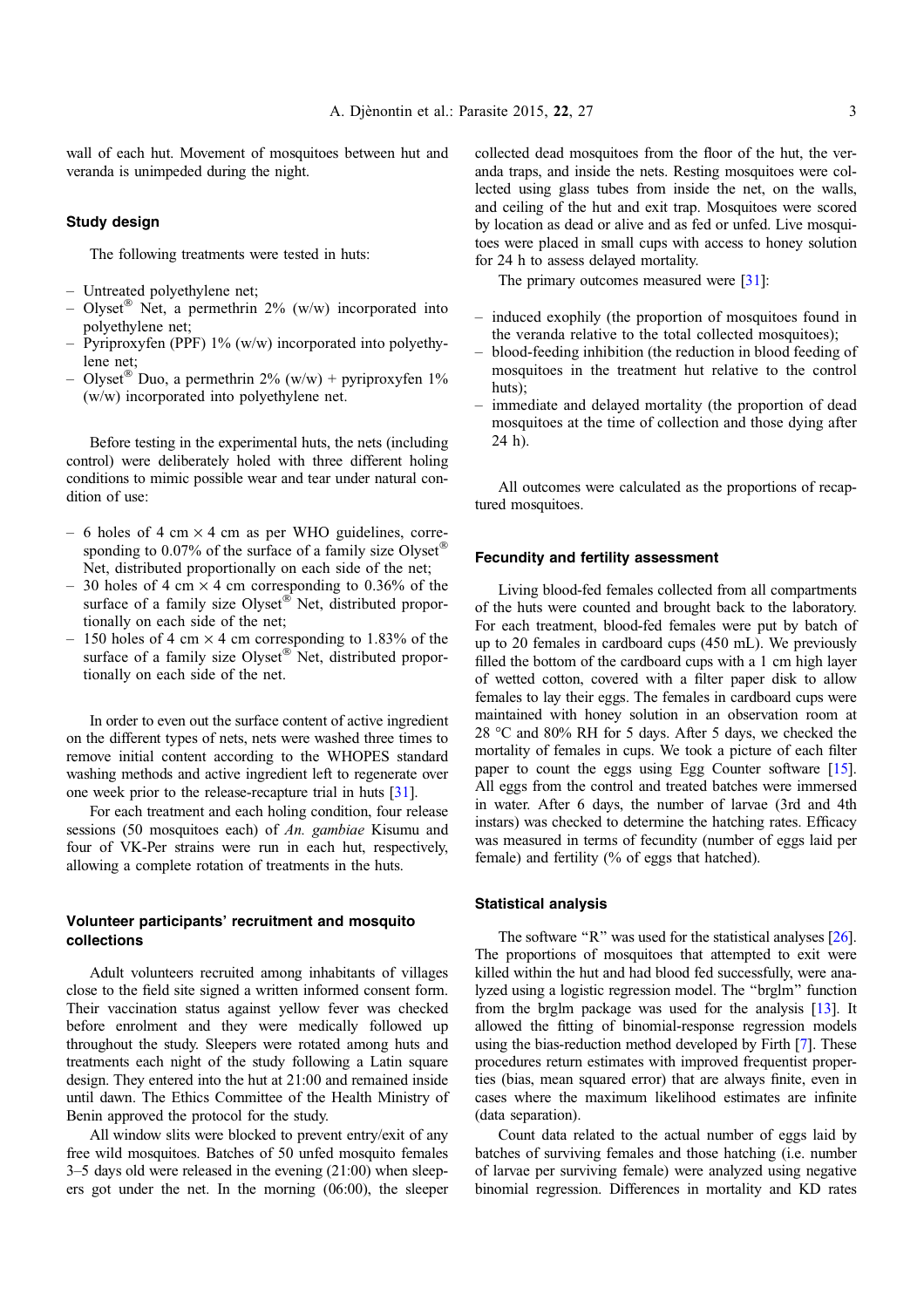wall of each hut. Movement of mosquitoes between hut and veranda is unimpeded during the night.

#### Study design

The following treatments were tested in huts:

- Untreated polyethylene net;
- Olyset<sup>®</sup> Net, a permethrin 2% (w/w) incorporated into polyethylene net;
- Pyriproxyfen (PPF) 1% (w/w) incorporated into polyethylene net;
- Olyset<sup>®</sup> Duo, a permethrin 2% (w/w) + pyriproxyfen 1% (w/w) incorporated into polyethylene net.

Before testing in the experimental huts, the nets (including control) were deliberately holed with three different holing conditions to mimic possible wear and tear under natural condition of use:

- 6 holes of 4 cm  $\times$  4 cm as per WHO guidelines, corresponding to 0.07% of the surface of a family size Olyset<sup>®</sup> Net, distributed proportionally on each side of the net;
- 30 holes of 4 cm  $\times$  4 cm corresponding to 0.36% of the surface of a family size Olyset® Net, distributed proportionally on each side of the net;
- 150 holes of 4 cm  $\times$  4 cm corresponding to 1.83% of the surface of a family size Olyset® Net, distributed proportionally on each side of the net.

In order to even out the surface content of active ingredient on the different types of nets, nets were washed three times to remove initial content according to the WHOPES standard washing methods and active ingredient left to regenerate over one week prior to the release-recapture trial in huts [\[31\]](#page-7-0).

For each treatment and each holing condition, four release sessions (50 mosquitoes each) of An. gambiae Kisumu and four of VK-Per strains were run in each hut, respectively, allowing a complete rotation of treatments in the huts.

# Volunteer participants' recruitment and mosquito collections

Adult volunteers recruited among inhabitants of villages close to the field site signed a written informed consent form. Their vaccination status against yellow fever was checked before enrolment and they were medically followed up throughout the study. Sleepers were rotated among huts and treatments each night of the study following a Latin square design. They entered into the hut at 21:00 and remained inside until dawn. The Ethics Committee of the Health Ministry of Benin approved the protocol for the study.

All window slits were blocked to prevent entry/exit of any free wild mosquitoes. Batches of 50 unfed mosquito females 3–5 days old were released in the evening (21:00) when sleepers got under the net. In the morning (06:00), the sleeper collected dead mosquitoes from the floor of the hut, the veranda traps, and inside the nets. Resting mosquitoes were collected using glass tubes from inside the net, on the walls, and ceiling of the hut and exit trap. Mosquitoes were scored by location as dead or alive and as fed or unfed. Live mosquitoes were placed in small cups with access to honey solution for 24 h to assess delayed mortality.

The primary outcomes measured were [\[31](#page-7-0)]:

- induced exophily (the proportion of mosquitoes found in the veranda relative to the total collected mosquitoes);
- blood-feeding inhibition (the reduction in blood feeding of mosquitoes in the treatment hut relative to the control huts);
- immediate and delayed mortality (the proportion of dead mosquitoes at the time of collection and those dying after 24 h).

All outcomes were calculated as the proportions of recaptured mosquitoes.

#### Fecundity and fertility assessment

Living blood-fed females collected from all compartments of the huts were counted and brought back to the laboratory. For each treatment, blood-fed females were put by batch of up to 20 females in cardboard cups (450 mL). We previously filled the bottom of the cardboard cups with a 1 cm high layer of wetted cotton, covered with a filter paper disk to allow females to lay their eggs. The females in cardboard cups were maintained with honey solution in an observation room at 28 °C and 80% RH for 5 days. After 5 days, we checked the mortality of females in cups. We took a picture of each filter paper to count the eggs using Egg Counter software [[15](#page-6-0)]. All eggs from the control and treated batches were immersed in water. After 6 days, the number of larvae (3rd and 4th instars) was checked to determine the hatching rates. Efficacy was measured in terms of fecundity (number of eggs laid per female) and fertility (% of eggs that hatched).

#### Statistical analysis

The software "R" was used for the statistical analyses [[26](#page-6-0)]. The proportions of mosquitoes that attempted to exit were killed within the hut and had blood fed successfully, were analyzed using a logistic regression model. The ''brglm'' function from the brglm package was used for the analysis [[13\]](#page-6-0). It allowed the fitting of binomial-response regression models using the bias-reduction method developed by Firth [\[7](#page-6-0)]. These procedures return estimates with improved frequentist properties (bias, mean squared error) that are always finite, even in cases where the maximum likelihood estimates are infinite (data separation).

Count data related to the actual number of eggs laid by batches of surviving females and those hatching (i.e. number of larvae per surviving female) were analyzed using negative binomial regression. Differences in mortality and KD rates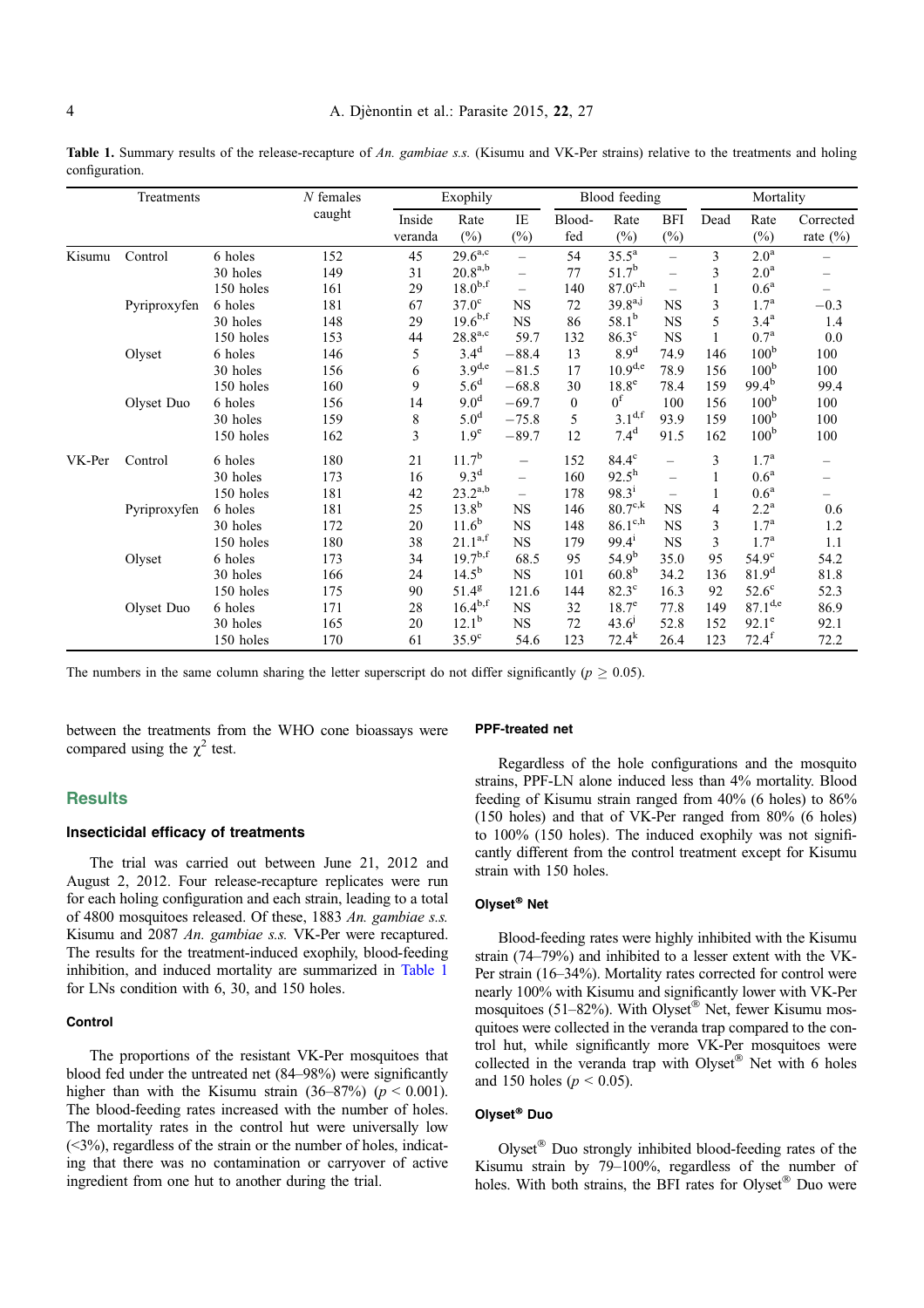Table 1. Summary results of the release-recapture of An. gambiae s.s. (Kisumu and VK-Per strains) relative to the treatments and holing configuration.

|        | Treatments   |           | $N$ females | Exophily          |                  |                          | Blood feeding |                     |                          | Mortality |                  |                          |
|--------|--------------|-----------|-------------|-------------------|------------------|--------------------------|---------------|---------------------|--------------------------|-----------|------------------|--------------------------|
|        |              |           | caught      | Inside<br>veranda | Rate<br>$(\%)$   | IE<br>$(\%)$             | Blood-<br>fed | Rate<br>$(\%)$      | <b>BFI</b><br>$(\%)$     | Dead      | Rate<br>$(\%)$   | Corrected<br>rate $(\%)$ |
| Kisumu | Control      | 6 holes   | 152         | 45                | $29.6^{a,c}$     | $\overline{\phantom{0}}$ | 54            | $35.5^{\rm a}$      | $\overline{\phantom{0}}$ | 3         | 2.0 <sup>a</sup> |                          |
|        |              | 30 holes  | 149         | 31                | $20.8^{a,b}$     | $\equiv$                 | 77            | $51.7^{b}$          | $\overline{\phantom{0}}$ | 3         | 2.0 <sup>a</sup> |                          |
|        |              | 150 holes | 161         | 29                | $18.0^{b,f}$     | $\equiv$                 | 140           | $87.0^{\text{c},h}$ | $\overline{\phantom{0}}$ |           | 0.6 <sup>a</sup> |                          |
|        | Pyriproxyfen | 6 holes   | 181         | 67                | $37.0^\circ$     | <b>NS</b>                | 72            | $39.8^{a,j}$        | NS                       | 3         | $1.7^{\rm a}$    | $-0.3$                   |
|        |              | 30 holes  | 148         | 29                | $19.6^{b,f}$     | $_{\rm NS}$              | 86            | $58.1^{b}$          | <b>NS</b>                | 5         | $3.4^{\rm a}$    | 1.4                      |
|        |              | 150 holes | 153         | 44                | $28.8^{a,c}$     | 59.7                     | 132           | $86.3^\circ$        | <b>NS</b>                |           | 0.7 <sup>a</sup> | 0.0                      |
|        | Olyset       | 6 holes   | 146         | 5                 | 3.4 <sup>d</sup> | $-88.4$                  | 13            | 8.9 <sup>d</sup>    | 74.9                     | 146       | 100 <sup>b</sup> | 100                      |
|        |              | 30 holes  | 156         | 6                 | $3.9^{d,e}$      | $-81.5$                  | 17            | $10.9^{d,e}$        | 78.9                     | 156       | 100 <sup>b</sup> | 100                      |
|        |              | 150 holes | 160         | 9                 | 5.6 <sup>d</sup> | $-68.8$                  | 30            | 18.8 <sup>e</sup>   | 78.4                     | 159       | $99.4^{b}$       | 99.4                     |
|        | Olyset Duo   | 6 holes   | 156         | 14                | 9.0 <sup>d</sup> | $-69.7$                  | $\mathbf{0}$  | 0 <sup>f</sup>      | 100                      | 156       | 100 <sup>b</sup> | 100                      |
|        |              | 30 holes  | 159         | 8                 | 5.0 <sup>d</sup> | $-75.8$                  | 5             | $3.1^{d,f}$         | 93.9                     | 159       | 100 <sup>b</sup> | 100                      |
|        |              | 150 holes | 162         | 3                 | 1.9 <sup>e</sup> | $-89.7$                  | 12            | $7.4^{\rm d}$       | 91.5                     | 162       | 100 <sup>b</sup> | 100                      |
| VK-Per | Control      | 6 holes   | 180         | 21                | $11.7^{b}$       | $\overline{\phantom{0}}$ | 152           | $84.4^{\rm c}$      | $\overline{\phantom{0}}$ | 3         | 1.7 <sup>a</sup> |                          |
|        |              | 30 holes  | 173         | 16                | 9.3 <sup>d</sup> | $\equiv$                 | 160           | $92.5^{\rm h}$      | $\overline{\phantom{0}}$ |           | 0.6 <sup>a</sup> |                          |
|        |              | 150 holes | 181         | 42                | $23.2^{a,b}$     | $\overline{\phantom{0}}$ | 178           | $98.3^{i}$          | $\overline{\phantom{0}}$ |           | 0.6 <sup>a</sup> |                          |
|        | Pyriproxyfen | 6 holes   | 181         | 25                | $13.8^{b}$       | <b>NS</b>                | 146           | $80.7^{\text{c},k}$ | $_{\rm NS}$              | 4         | $2.2^{\rm a}$    | 0.6                      |
|        |              | 30 holes  | 172         | 20                | $11.6^{b}$       | $_{\rm NS}$              | 148           | $86.1^{\text{c},h}$ | $_{\rm NS}$              | 3         | $1.7^{\rm a}$    | 1.2                      |
|        |              | 150 holes | 180         | 38                | $21.1^{a,f}$     | $_{\rm NS}$              | 179           | $99.4^{i}$          | <b>NS</b>                | 3         | $1.7^{\rm a}$    | 1.1                      |
|        | Olyset       | 6 holes   | 173         | 34                | $19.7^{b,f}$     | 68.5                     | 95            | $54.9^{b}$          | 35.0                     | 95        | $54.9^\circ$     | 54.2                     |
|        |              | 30 holes  | 166         | 24                | $14.5^{b}$       | $_{\rm NS}$              | 101           | 60.8 <sup>b</sup>   | 34.2                     | 136       | $81.9^{d}$       | 81.8                     |
|        |              | 150 holes | 175         | 90                | $51.4^g$         | 121.6                    | 144           | $82.3^\circ$        | 16.3                     | 92        | $52.6^\circ$     | 52.3                     |
|        | Olyset Duo   | 6 holes   | 171         | 28                | $16.4^{b,f}$     | $_{\rm NS}$              | 32            | $18.7^\circ$        | 77.8                     | 149       | $87.1^{d,e}$     | 86.9                     |
|        |              | 30 holes  | 165         | 20                | $12.1^{b}$       | $_{\rm NS}$              | 72            | $43.6^{j}$          | 52.8                     | 152       | $92.1^e$         | 92.1                     |
|        |              | 150 holes | 170         | 61                | $35.9^\circ$     | 54.6                     | 123           | $72.4^k$            | 26.4                     | 123       | $72.4^{f}$       | 72.2                     |

The numbers in the same column sharing the letter superscript do not differ significantly ( $p > 0.05$ ).

between the treatments from the WHO cone bioassays were compared using the  $\chi^2$  test.

# **Results**

# Insecticidal efficacy of treatments

The trial was carried out between June 21, 2012 and August 2, 2012. Four release-recapture replicates were run for each holing configuration and each strain, leading to a total of 4800 mosquitoes released. Of these, 1883 An. gambiae s.s. Kisumu and 2087 An. gambiae s.s. VK-Per were recaptured. The results for the treatment-induced exophily, blood-feeding inhibition, and induced mortality are summarized in Table 1 for LNs condition with 6, 30, and 150 holes.

### **Control**

The proportions of the resistant VK-Per mosquitoes that blood fed under the untreated net (84–98%) were significantly higher than with the Kisumu strain  $(36-87%)$  ( $p < 0.001$ ). The blood-feeding rates increased with the number of holes. The mortality rates in the control hut were universally low  $( $3\%$ )$ , regardless of the strain or the number of holes, indicating that there was no contamination or carryover of active ingredient from one hut to another during the trial.

#### PPF-treated net

Regardless of the hole configurations and the mosquito strains, PPF-LN alone induced less than 4% mortality. Blood feeding of Kisumu strain ranged from 40% (6 holes) to 86% (150 holes) and that of VK-Per ranged from 80% (6 holes) to 100% (150 holes). The induced exophily was not significantly different from the control treatment except for Kisumu strain with 150 holes.

# Olyset<sup>®</sup> Net

Blood-feeding rates were highly inhibited with the Kisumu strain (74–79%) and inhibited to a lesser extent with the VK-Per strain (16–34%). Mortality rates corrected for control were nearly 100% with Kisumu and significantly lower with VK-Per mosquitoes (51-82%). With Olyset<sup>®</sup> Net, fewer Kisumu mosquitoes were collected in the veranda trap compared to the control hut, while significantly more VK-Per mosquitoes were collected in the veranda trap with Olyset® Net with 6 holes and 150 holes ( $p < 0.05$ ).

# Olyset<sup>®</sup> Duo

Olyset® Duo strongly inhibited blood-feeding rates of the Kisumu strain by 79–100%, regardless of the number of holes. With both strains, the BFI rates for Olyset® Duo were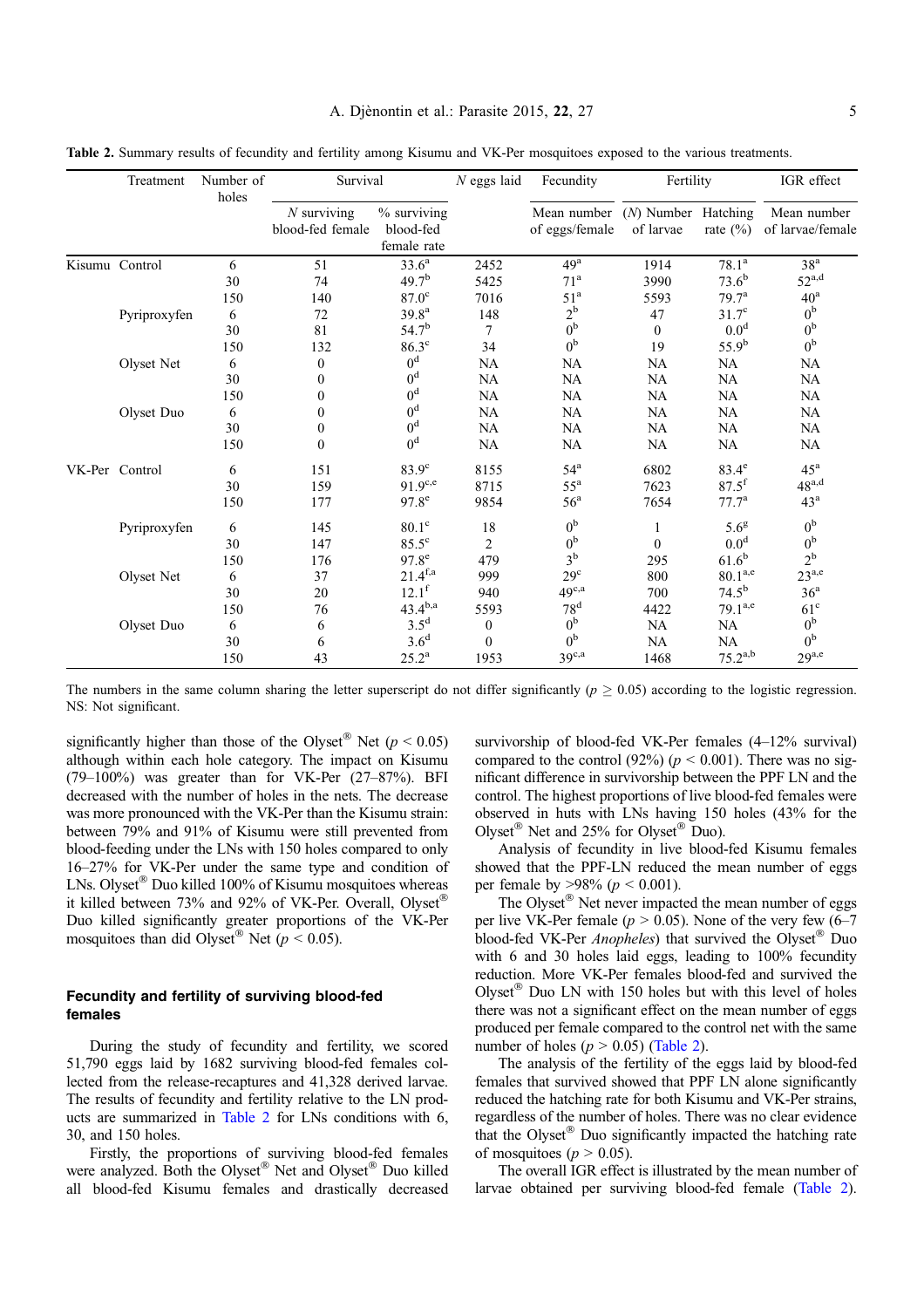|  | Treatment      | Number of<br>holes | Survival                          |                                         | $N$ eggs laid    | Fecundity                     | Fertility                          |                   | IGR effect                      |  |
|--|----------------|--------------------|-----------------------------------|-----------------------------------------|------------------|-------------------------------|------------------------------------|-------------------|---------------------------------|--|
|  |                |                    | $N$ surviving<br>blood-fed female | % surviving<br>blood-fed<br>female rate |                  | Mean number<br>of eggs/female | $(N)$ Number Hatching<br>of larvae | rate $(\% )$      | Mean number<br>of larvae/female |  |
|  | Kisumu Control | 6                  | 51                                | $33.6^a$                                | 2452             | $49^{\rm a}$                  | 1914                               | $78.1^{\rm a}$    | $38^{\rm a}$                    |  |
|  |                | 30                 | 74                                | 49.7 <sup>b</sup>                       | 5425             | 71 <sup>a</sup>               | 3990                               | $73.6^{b}$        | $52^{\mathrm{a,d}}$             |  |
|  |                | 150                | 140                               | $87.0$ <sup>c</sup>                     | 7016             | 51 <sup>a</sup>               | 5593                               | 79.7 <sup>a</sup> | $40^{\rm a}$                    |  |
|  | Pyriproxyfen   | 6                  | 72                                | 39.8 <sup>a</sup>                       | 148              | $2^{\rm b}$                   | 47                                 | $31.7^\circ$      | 0 <sup>b</sup>                  |  |
|  |                | 30                 | 81                                | $54.7^{b}$                              | 7                | 0 <sup>b</sup>                | $\mathbf{0}$                       | 0.0 <sup>d</sup>  | 0 <sup>b</sup>                  |  |
|  |                | 150                | 132                               | $86.3^\circ$                            | 34               | 0 <sup>b</sup>                | 19                                 | $55.9^{b}$        | 0 <sup>b</sup>                  |  |
|  | Olyset Net     | 6                  | $\boldsymbol{0}$                  | $0^d$                                   | <b>NA</b>        | <b>NA</b>                     | <b>NA</b>                          | <b>NA</b>         | <b>NA</b>                       |  |
|  |                | 30                 | $\boldsymbol{0}$                  | $0^d$                                   | <b>NA</b>        | <b>NA</b>                     | <b>NA</b>                          | <b>NA</b>         | <b>NA</b>                       |  |
|  |                | 150                | $\boldsymbol{0}$                  | 0 <sup>d</sup>                          | <b>NA</b>        | NA                            | <b>NA</b>                          | <b>NA</b>         | <b>NA</b>                       |  |
|  | Olyset Duo     | 6                  | $\boldsymbol{0}$                  | 0 <sup>d</sup>                          | <b>NA</b>        | NA                            | NA                                 | NA                | <b>NA</b>                       |  |
|  |                | 30                 | $\boldsymbol{0}$                  | 0 <sup>d</sup>                          | NA               | NA                            | NA                                 | <b>NA</b>         | <b>NA</b>                       |  |
|  |                | 150                | $\mathbf{0}$                      | 0 <sup>d</sup>                          | <b>NA</b>        | <b>NA</b>                     | <b>NA</b>                          | <b>NA</b>         | <b>NA</b>                       |  |
|  | VK-Per Control | 6                  | 151                               | $83.9^\circ$                            | 8155             | $54^{\mathrm{a}}$             | 6802                               | $83.4^\mathrm{e}$ | $45^{\mathrm{a}}$               |  |
|  |                | 30                 | 159                               | $91.9^{c,e}$                            | 8715             | $55^{\rm a}$                  | 7623                               | $87.5^{f}$        | $48^{a,d}$                      |  |
|  |                | 150                | 177                               | $97.8^e$                                | 9854             | 56 <sup>a</sup>               | 7654                               | $77.7^{\rm a}$    | 43 <sup>a</sup>                 |  |
|  | Pyriproxyfen   | 6                  | 145                               | $80.1^\circ$                            | 18               | 0 <sup>b</sup>                | 1                                  | 5.6 <sup>g</sup>  | 0 <sup>b</sup>                  |  |
|  |                | 30                 | 147                               | $85.5^{\circ}$                          | $\overline{2}$   | 0 <sup>b</sup>                | $\mathbf{0}$                       | 0.0 <sup>d</sup>  | 0 <sup>b</sup>                  |  |
|  |                | 150                | 176                               | $97.8^e$                                | 479              | $3^{\rm b}$                   | 295                                | $61.6^{\rm b}$    | $2^{\rm b}$                     |  |
|  | Olyset Net     | 6                  | 37                                | $21.4^{f,a}$                            | 999              | $29^{\circ}$                  | 800                                | $80.1^{\rm a,e}$  | $23^{a,e}$                      |  |
|  |                | 30                 | 20                                | $12.1^f$                                | 940              | $49^{c,a}$                    | 700                                | $74.5^{b}$        | 36 <sup>a</sup>                 |  |
|  |                | 150                | 76                                | $43.4^{b,a}$                            | 5593             | 78 <sup>d</sup>               | 4422                               | $79.1^{a,e}$      | $61^{\circ}$                    |  |
|  | Olyset Duo     | 6                  | 6                                 | $3.5^d$                                 | $\boldsymbol{0}$ | 0 <sup>b</sup>                | <b>NA</b>                          | <b>NA</b>         | 0 <sup>b</sup>                  |  |
|  |                | 30                 | 6                                 | 3.6 <sup>d</sup>                        | $\theta$         | 0 <sup>b</sup>                | NA                                 | <b>NA</b>         | 0 <sup>b</sup>                  |  |
|  |                | 150                | 43                                | $25.2^{\rm a}$                          | 1953             | $39^{c,a}$                    | 1468                               | $75.2^{a,b}$      | $29^{a,e}$                      |  |

Table 2. Summary results of fecundity and fertility among Kisumu and VK-Per mosquitoes exposed to the various treatments.

The numbers in the same column sharing the letter superscript do not differ significantly ( $p \ge 0.05$ ) according to the logistic regression. NS: Not significant.

significantly higher than those of the Olyset<sup>®</sup> Net ( $p < 0.05$ ) although within each hole category. The impact on Kisumu  $(79-100\%)$  was greater than for VK-Per  $(27-87\%)$ . BFI decreased with the number of holes in the nets. The decrease was more pronounced with the VK-Per than the Kisumu strain: between 79% and 91% of Kisumu were still prevented from blood-feeding under the LNs with 150 holes compared to only 16–27% for VK-Per under the same type and condition of LNs. Olyset<sup>®</sup> Duo killed 100% of Kisumu mosquitoes whereas it killed between 73% and 92% of VK-Per. Overall, Olyset® Duo killed significantly greater proportions of the VK-Per mosquitoes than did Olyset<sup>®</sup> Net  $(p < 0.05)$ .

# Fecundity and fertility of surviving blood-fed females

During the study of fecundity and fertility, we scored 51,790 eggs laid by 1682 surviving blood-fed females collected from the release-recaptures and 41,328 derived larvae. The results of fecundity and fertility relative to the LN products are summarized in Table 2 for LNs conditions with 6, 30, and 150 holes.

Firstly, the proportions of surviving blood-fed females were analyzed. Both the Olyset® Net and Olyset® Duo killed all blood-fed Kisumu females and drastically decreased survivorship of blood-fed VK-Per females (4–12% survival) compared to the control (92%) ( $p < 0.001$ ). There was no significant difference in survivorship between the PPF LN and the control. The highest proportions of live blood-fed females were observed in huts with LNs having 150 holes (43% for the Olyset<sup>®</sup> Net and 25% for Olyset<sup>®</sup> Duo).

Analysis of fecundity in live blood-fed Kisumu females showed that the PPF-LN reduced the mean number of eggs per female by  $>98\%$  ( $p < 0.001$ ).

The Olyset® Net never impacted the mean number of eggs per live VK-Per female ( $p > 0.05$ ). None of the very few (6–7) blood-fed VK-Per Anopheles) that survived the Olyset® Duo with 6 and 30 holes laid eggs, leading to 100% fecundity reduction. More VK-Per females blood-fed and survived the Olyset<sup>®</sup> Duo LN with 150 holes but with this level of holes there was not a significant effect on the mean number of eggs produced per female compared to the control net with the same number of holes ( $p > 0.05$ ) (Table 2).

The analysis of the fertility of the eggs laid by blood-fed females that survived showed that PPF LN alone significantly reduced the hatching rate for both Kisumu and VK-Per strains, regardless of the number of holes. There was no clear evidence that the Olyset® Duo significantly impacted the hatching rate of mosquitoes ( $p > 0.05$ ).

The overall IGR effect is illustrated by the mean number of larvae obtained per surviving blood-fed female (Table 2).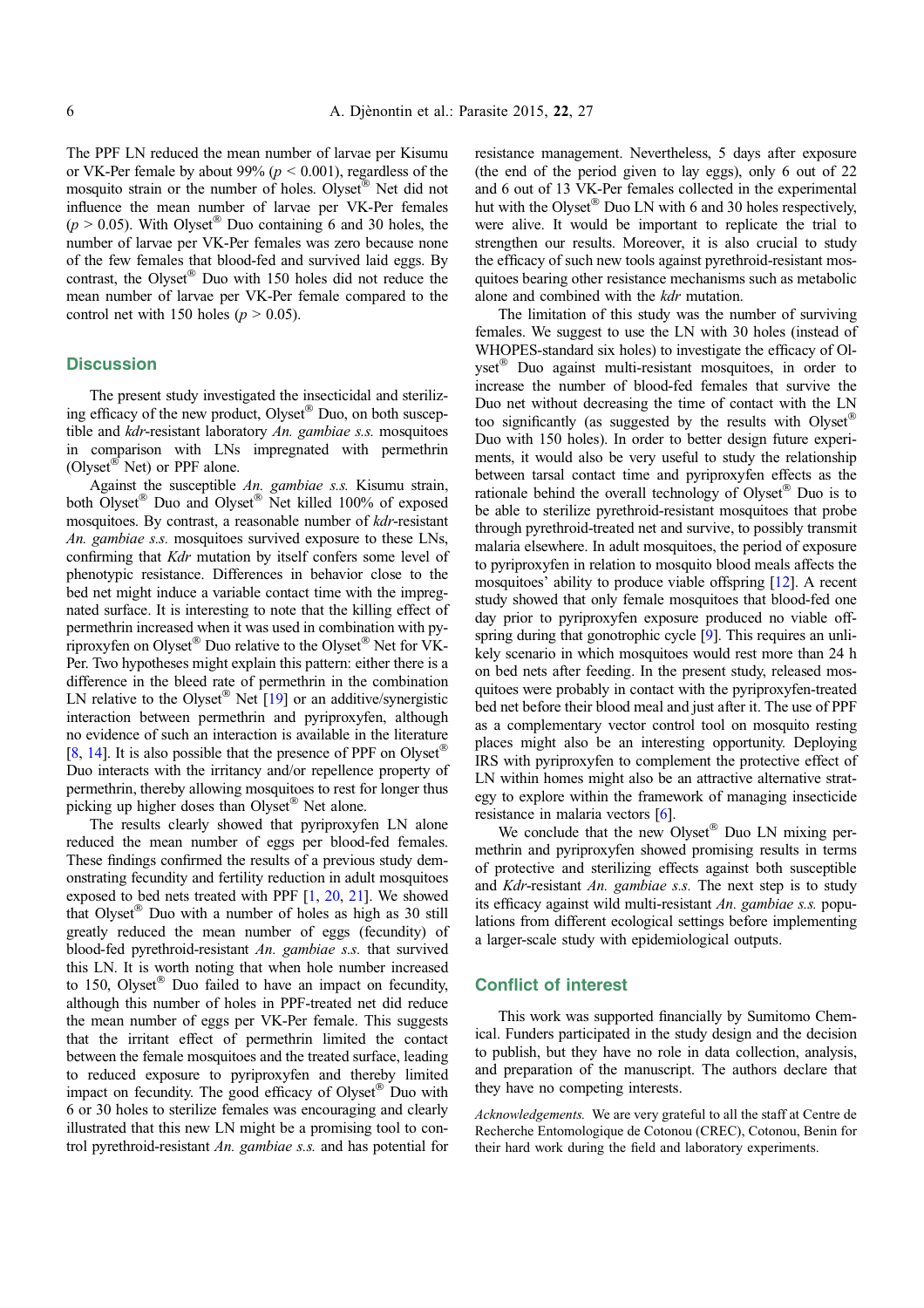The PPF LN reduced the mean number of larvae per Kisumu or VK-Per female by about 99% ( $p < 0.001$ ), regardless of the mosquito strain or the number of holes. Olyset<sup>®</sup> Net did not influence the mean number of larvae per VK-Per females  $(p > 0.05)$ . With Olyset<sup>®</sup> Duo containing 6 and 30 holes, the number of larvae per VK-Per females was zero because none of the few females that blood-fed and survived laid eggs. By contrast, the Olyset® Duo with 150 holes did not reduce the mean number of larvae per VK-Per female compared to the control net with 150 holes ( $p > 0.05$ ).

# **Discussion**

The present study investigated the insecticidal and sterilizing efficacy of the new product, Olyset® Duo, on both susceptible and kdr-resistant laboratory An. gambiae s.s. mosquitoes in comparison with LNs impregnated with permethrin (Olyset<sup>®</sup> Net) or PPF alone.

Against the susceptible An. gambiae s.s. Kisumu strain, both Olyset® Duo and Olyset® Net killed 100% of exposed mosquitoes. By contrast, a reasonable number of kdr-resistant An. gambiae s.s. mosquitoes survived exposure to these LNs, confirming that Kdr mutation by itself confers some level of phenotypic resistance. Differences in behavior close to the bed net might induce a variable contact time with the impregnated surface. It is interesting to note that the killing effect of permethrin increased when it was used in combination with pyriproxyfen on Olyset® Duo relative to the Olyset<sup>®</sup> Net for VK-Per. Two hypotheses might explain this pattern: either there is a difference in the bleed rate of permethrin in the combination LN relative to the Olyset<sup>®</sup> Net  $[19]$  or an additive/synergistic interaction between permethrin and pyriproxyfen, although no evidence of such an interaction is available in the literature [[8,](#page-6-0) [14\]](#page-6-0). It is also possible that the presence of PPF on Olyset<sup>®</sup> Duo interacts with the irritancy and/or repellence property of permethrin, thereby allowing mosquitoes to rest for longer thus picking up higher doses than Olyset® Net alone.

The results clearly showed that pyriproxyfen LN alone reduced the mean number of eggs per blood-fed females. These findings confirmed the results of a previous study demonstrating fecundity and fertility reduction in adult mosquitoes exposed to bed nets treated with PPF [[1,](#page-6-0) [20](#page-6-0), [21\]](#page-6-0). We showed that Olyset<sup>®</sup> Duo with a number of holes as high as 30 still greatly reduced the mean number of eggs (fecundity) of blood-fed pyrethroid-resistant An. gambiae s.s. that survived this LN. It is worth noting that when hole number increased to 150, Olyset<sup>®</sup> Duo failed to have an impact on fecundity, although this number of holes in PPF-treated net did reduce the mean number of eggs per VK-Per female. This suggests that the irritant effect of permethrin limited the contact between the female mosquitoes and the treated surface, leading to reduced exposure to pyriproxyfen and thereby limited impact on fecundity. The good efficacy of Olyset® Duo with 6 or 30 holes to sterilize females was encouraging and clearly illustrated that this new LN might be a promising tool to control pyrethroid-resistant An. gambiae s.s. and has potential for

resistance management. Nevertheless, 5 days after exposure (the end of the period given to lay eggs), only 6 out of 22 and 6 out of 13 VK-Per females collected in the experimental hut with the Olyset® Duo LN with 6 and 30 holes respectively, were alive. It would be important to replicate the trial to strengthen our results. Moreover, it is also crucial to study the efficacy of such new tools against pyrethroid-resistant mosquitoes bearing other resistance mechanisms such as metabolic alone and combined with the kdr mutation.

The limitation of this study was the number of surviving females. We suggest to use the LN with 30 holes (instead of WHOPES-standard six holes) to investigate the efficacy of Olyset<sup>®</sup> Duo against multi-resistant mosquitoes, in order to increase the number of blood-fed females that survive the Duo net without decreasing the time of contact with the LN too significantly (as suggested by the results with Olyset® Duo with 150 holes). In order to better design future experiments, it would also be very useful to study the relationship between tarsal contact time and pyriproxyfen effects as the rationale behind the overall technology of Olyset® Duo is to be able to sterilize pyrethroid-resistant mosquitoes that probe through pyrethroid-treated net and survive, to possibly transmit malaria elsewhere. In adult mosquitoes, the period of exposure to pyriproxyfen in relation to mosquito blood meals affects the mosquitoes' ability to produce viable offspring [\[12\]](#page-6-0). A recent study showed that only female mosquitoes that blood-fed one day prior to pyriproxyfen exposure produced no viable off-spring during that gonotrophic cycle [[9\]](#page-6-0). This requires an unlikely scenario in which mosquitoes would rest more than 24 h on bed nets after feeding. In the present study, released mosquitoes were probably in contact with the pyriproxyfen-treated bed net before their blood meal and just after it. The use of PPF as a complementary vector control tool on mosquito resting places might also be an interesting opportunity. Deploying IRS with pyriproxyfen to complement the protective effect of LN within homes might also be an attractive alternative strategy to explore within the framework of managing insecticide resistance in malaria vectors [\[6](#page-6-0)].

We conclude that the new Olyset® Duo LN mixing permethrin and pyriproxyfen showed promising results in terms of protective and sterilizing effects against both susceptible and Kdr-resistant An. gambiae s.s. The next step is to study its efficacy against wild multi-resistant An. gambiae s.s. populations from different ecological settings before implementing a larger-scale study with epidemiological outputs.

# Conflict of interest

This work was supported financially by Sumitomo Chemical. Funders participated in the study design and the decision to publish, but they have no role in data collection, analysis, and preparation of the manuscript. The authors declare that they have no competing interests.

Acknowledgements. We are very grateful to all the staff at Centre de Recherche Entomologique de Cotonou (CREC), Cotonou, Benin for their hard work during the field and laboratory experiments.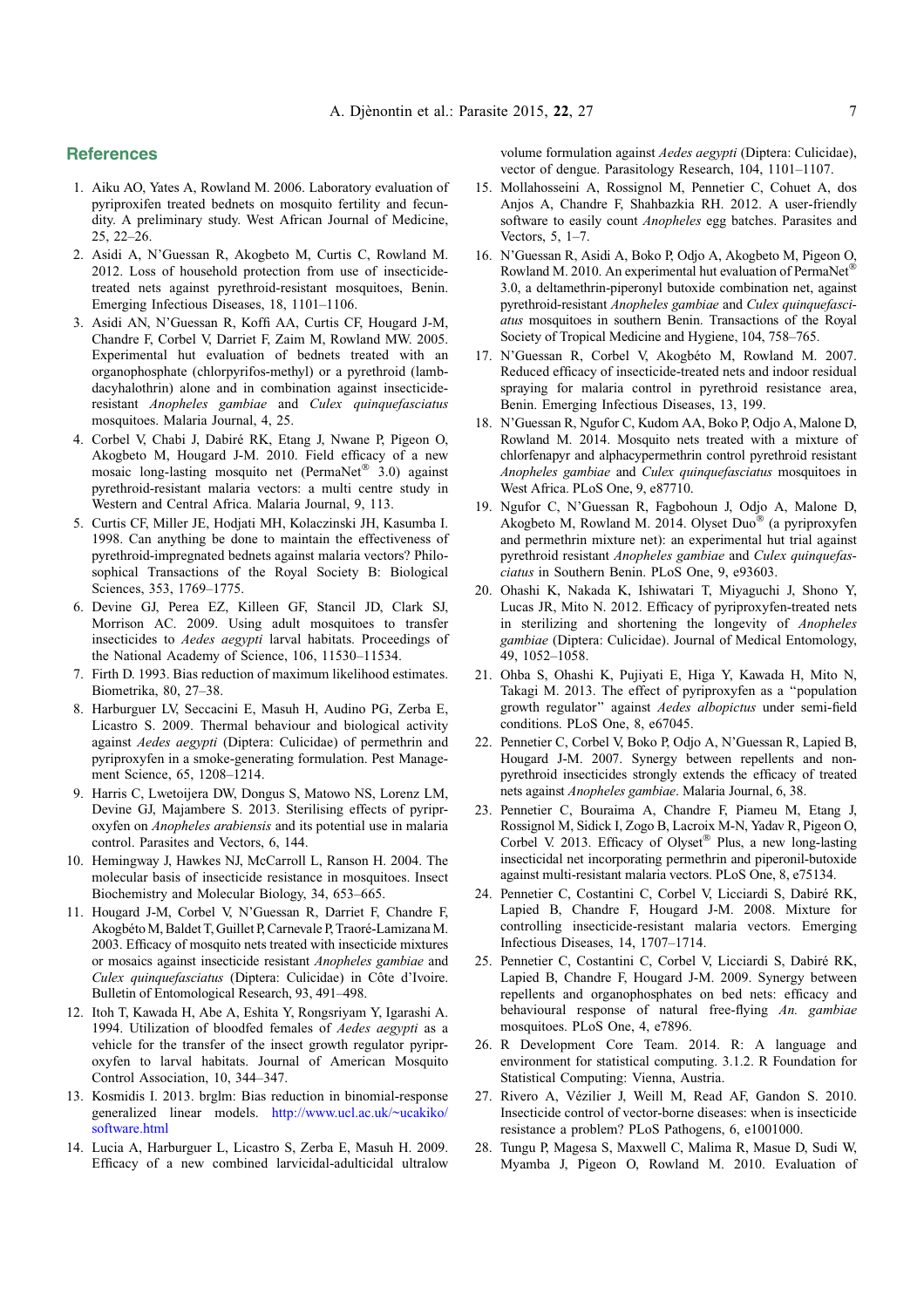# <span id="page-6-0"></span>**References**

- 1. Aiku AO, Yates A, Rowland M. 2006. Laboratory evaluation of pyriproxifen treated bednets on mosquito fertility and fecundity. A preliminary study. West African Journal of Medicine, 25, 22–26.
- 2. Asidi A, N'Guessan R, Akogbeto M, Curtis C, Rowland M. 2012. Loss of household protection from use of insecticidetreated nets against pyrethroid-resistant mosquitoes, Benin. Emerging Infectious Diseases, 18, 1101–1106.
- 3. Asidi AN, N'Guessan R, Koffi AA, Curtis CF, Hougard J-M, Chandre F, Corbel V, Darriet F, Zaim M, Rowland MW. 2005. Experimental hut evaluation of bednets treated with an organophosphate (chlorpyrifos-methyl) or a pyrethroid (lambdacyhalothrin) alone and in combination against insecticideresistant Anopheles gambiae and Culex quinquefasciatus mosquitoes. Malaria Journal, 4, 25.
- 4. Corbel V, Chabi J, Dabiré RK, Etang J, Nwane P, Pigeon O, Akogbeto M, Hougard J-M. 2010. Field efficacy of a new mosaic long-lasting mosquito net (PermaNet® 3.0) against pyrethroid-resistant malaria vectors: a multi centre study in Western and Central Africa. Malaria Journal, 9, 113.
- 5. Curtis CF, Miller JE, Hodjati MH, Kolaczinski JH, Kasumba I. 1998. Can anything be done to maintain the effectiveness of pyrethroid-impregnated bednets against malaria vectors? Philosophical Transactions of the Royal Society B: Biological Sciences, 353, 1769–1775.
- 6. Devine GJ, Perea EZ, Killeen GF, Stancil JD, Clark SJ, Morrison AC. 2009. Using adult mosquitoes to transfer insecticides to Aedes aegypti larval habitats. Proceedings of the National Academy of Science, 106, 11530–11534.
- 7. Firth D. 1993. Bias reduction of maximum likelihood estimates. Biometrika, 80, 27–38.
- 8. Harburguer LV, Seccacini E, Masuh H, Audino PG, Zerba E, Licastro S. 2009. Thermal behaviour and biological activity against Aedes aegypti (Diptera: Culicidae) of permethrin and pyriproxyfen in a smoke-generating formulation. Pest Management Science, 65, 1208–1214.
- 9. Harris C, Lwetoijera DW, Dongus S, Matowo NS, Lorenz LM, Devine GJ, Majambere S. 2013. Sterilising effects of pyriproxyfen on Anopheles arabiensis and its potential use in malaria control. Parasites and Vectors, 6, 144.
- 10. Hemingway J, Hawkes NJ, McCarroll L, Ranson H. 2004. The molecular basis of insecticide resistance in mosquitoes. Insect Biochemistry and Molecular Biology, 34, 653–665.
- 11. Hougard J-M, Corbel V, N'Guessan R, Darriet F, Chandre F, Akogbéto M, Baldet T, Guillet P, Carnevale P, Traoré-Lamizana M. 2003. Efficacy of mosquito nets treated with insecticide mixtures or mosaics against insecticide resistant Anopheles gambiae and Culex quinquefasciatus (Diptera: Culicidae) in Côte d'Ivoire. Bulletin of Entomological Research, 93, 491–498.
- 12. Itoh T, Kawada H, Abe A, Eshita Y, Rongsriyam Y, Igarashi A. 1994. Utilization of bloodfed females of Aedes aegypti as a vehicle for the transfer of the insect growth regulator pyriproxyfen to larval habitats. Journal of American Mosquito Control Association, 10, 344–347.
- 13. Kosmidis I. 2013. brglm: Bias reduction in binomial-response generalized linear models. [http://www.ucl.ac.uk/~ucakiko/](http://www.ucl.ac.uk/~ucakiko/software.html) [software.html](http://www.ucl.ac.uk/~ucakiko/software.html)
- 14. Lucia A, Harburguer L, Licastro S, Zerba E, Masuh H. 2009. Efficacy of a new combined larvicidal-adulticidal ultralow

volume formulation against Aedes aegypti (Diptera: Culicidae), vector of dengue. Parasitology Research, 104, 1101–1107.

- 15. Mollahosseini A, Rossignol M, Pennetier C, Cohuet A, dos Anjos A, Chandre F, Shahbazkia RH. 2012. A user-friendly software to easily count Anopheles egg batches. Parasites and Vectors, 5, 1–7.
- 16. N'Guessan R, Asidi A, Boko P, Odjo A, Akogbeto M, Pigeon O, Rowland M. 2010. An experimental hut evaluation of PermaNet® 3.0, a deltamethrin-piperonyl butoxide combination net, against pyrethroid-resistant Anopheles gambiae and Culex quinquefasciatus mosquitoes in southern Benin. Transactions of the Royal Society of Tropical Medicine and Hygiene, 104, 758–765.
- 17. N'Guessan R, Corbel V, Akogbéto M, Rowland M. 2007. Reduced efficacy of insecticide-treated nets and indoor residual spraying for malaria control in pyrethroid resistance area, Benin. Emerging Infectious Diseases, 13, 199.
- 18. N'Guessan R, Ngufor C, Kudom AA, Boko P, Odjo A, Malone D, Rowland M. 2014. Mosquito nets treated with a mixture of chlorfenapyr and alphacypermethrin control pyrethroid resistant Anopheles gambiae and Culex quinquefasciatus mosquitoes in West Africa. PLoS One, 9, e87710.
- 19. Ngufor C, N'Guessan R, Fagbohoun J, Odjo A, Malone D, Akogbeto M, Rowland M. 2014. Olyset Duo® (a pyriproxyfen and permethrin mixture net): an experimental hut trial against pyrethroid resistant Anopheles gambiae and Culex quinquefasciatus in Southern Benin. PLoS One, 9, e93603.
- 20. Ohashi K, Nakada K, Ishiwatari T, Miyaguchi J, Shono Y, Lucas JR, Mito N. 2012. Efficacy of pyriproxyfen-treated nets in sterilizing and shortening the longevity of Anopheles gambiae (Diptera: Culicidae). Journal of Medical Entomology, 49, 1052–1058.
- 21. Ohba S, Ohashi K, Pujiyati E, Higa Y, Kawada H, Mito N, Takagi M. 2013. The effect of pyriproxyfen as a ''population growth regulator'' against Aedes albopictus under semi-field conditions. PLoS One, 8, e67045.
- 22. Pennetier C, Corbel V, Boko P, Odjo A, N'Guessan R, Lapied B, Hougard J-M. 2007. Synergy between repellents and nonpyrethroid insecticides strongly extends the efficacy of treated nets against Anopheles gambiae. Malaria Journal, 6, 38.
- 23. Pennetier C, Bouraima A, Chandre F, Piameu M, Etang J, Rossignol M, Sidick I, Zogo B, Lacroix M-N, Yadav R, Pigeon O, Corbel V. 2013. Efficacy of Olyset® Plus, a new long-lasting insecticidal net incorporating permethrin and piperonil-butoxide against multi-resistant malaria vectors. PLoS One, 8, e75134.
- 24. Pennetier C, Costantini C, Corbel V, Licciardi S, Dabiré RK, Lapied B, Chandre F, Hougard J-M. 2008. Mixture for controlling insecticide-resistant malaria vectors. Emerging Infectious Diseases, 14, 1707–1714.
- 25. Pennetier C, Costantini C, Corbel V, Licciardi S, Dabiré RK, Lapied B, Chandre F, Hougard J-M. 2009. Synergy between repellents and organophosphates on bed nets: efficacy and behavioural response of natural free-flying An. gambiae mosquitoes. PLoS One, 4, e7896.
- 26. R Development Core Team. 2014. R: A language and environment for statistical computing. 3.1.2. R Foundation for Statistical Computing: Vienna, Austria.
- 27. Rivero A, Vézilier J, Weill M, Read AF, Gandon S. 2010. Insecticide control of vector-borne diseases: when is insecticide resistance a problem? PLoS Pathogens, 6, e1001000.
- 28. Tungu P, Magesa S, Maxwell C, Malima R, Masue D, Sudi W, Myamba J, Pigeon O, Rowland M. 2010. Evaluation of